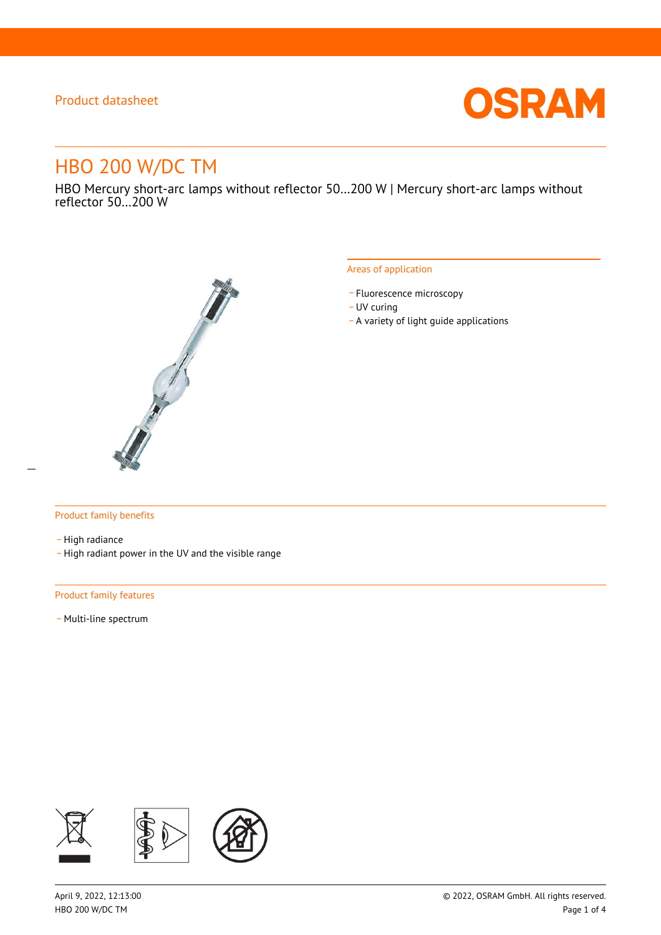

# HBO 200 W/DC TM

HBO Mercury short-arc lamps without reflector 50…200 W | Mercury short-arc lamps without reflector 50…200 W



#### Areas of application

- Fluorescence microscopy
- UV curing
- \_ A variety of light guide applications

### Product family benefits

- High radiance

\_ High radiant power in the UV and the visible range

#### Product family features

- Multi-line spectrum

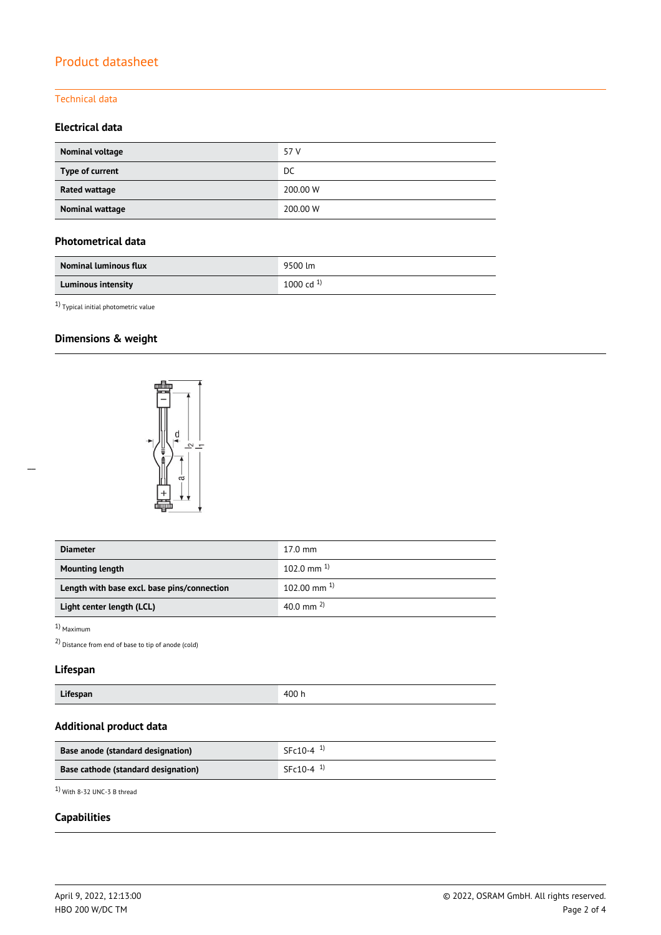### Technical data

### **Electrical data**

| Nominal voltage | 57 V     |
|-----------------|----------|
| Type of current | DC.      |
| Rated wattage   | 200.00 W |
| Nominal wattage | 200.00 W |

### **Photometrical data**

| <b>Nominal luminous flux</b> | 9500 lm        |
|------------------------------|----------------|
| <b>Luminous intensity</b>    | 1000 cd $^{1}$ |

 $^{1)}$  Typical initial photometric value

# **Dimensions & weight**



| <b>Diameter</b>                             | $17.0 \text{ mm}$  |
|---------------------------------------------|--------------------|
| <b>Mounting length</b>                      | 102.0 mm $^{1}$    |
| Length with base excl. base pins/connection | $102.00$ mm $^{1}$ |
| Light center length (LCL)                   | 40.0 mm $^{2}$ )   |

1) Maximum

 $\overline{a}$ 

2) Distance from end of base to tip of anode (cold)

# **Lifespan**

| Lifespan | 400 h |
|----------|-------|
|----------|-------|

# **Additional product data**

| Base anode (standard designation)   | $SFc10-4$ <sup>1)</sup> |
|-------------------------------------|-------------------------|
| Base cathode (standard designation) | $SFc10-4$ <sup>1)</sup> |

1) With 8-32 UNC-3 B thread

### **Capabilities**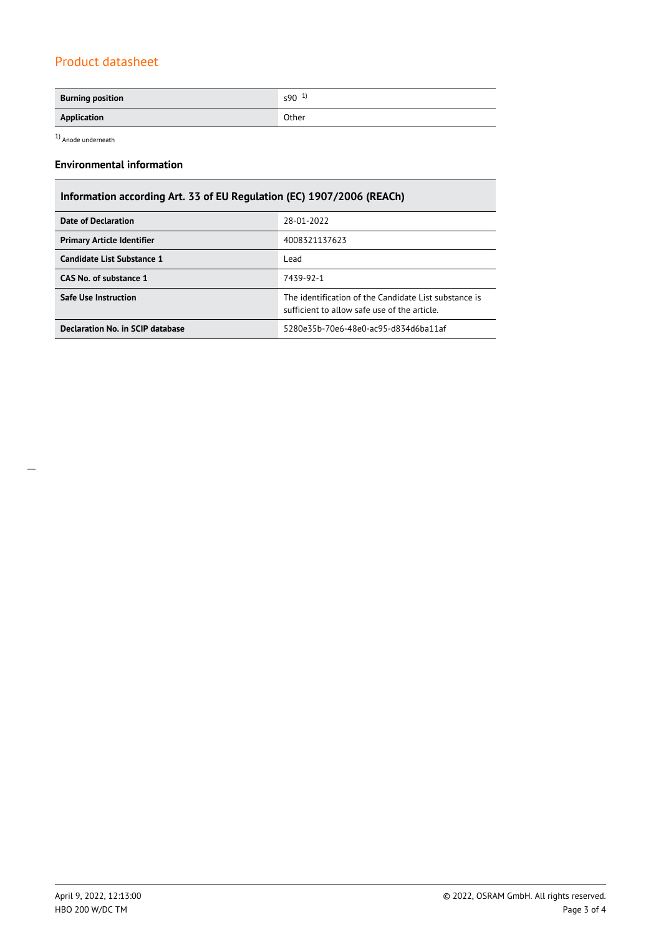| <b>Burning position</b>                            | $590^{1}$ |
|----------------------------------------------------|-----------|
| Application<br>the contract of the contract of the | Other     |

 $1)$  Anode underneath

# **Environmental information**

| Information according Art. 33 of EU Regulation (EC) 1907/2006 (REACh) |                                                                                                      |  |  |  |
|-----------------------------------------------------------------------|------------------------------------------------------------------------------------------------------|--|--|--|
| <b>Date of Declaration</b>                                            | 28-01-2022                                                                                           |  |  |  |
| <b>Primary Article Identifier</b>                                     | 4008321137623                                                                                        |  |  |  |
| Candidate List Substance 1                                            | Lead                                                                                                 |  |  |  |
| CAS No. of substance 1                                                | 7439-92-1                                                                                            |  |  |  |
| <b>Safe Use Instruction</b>                                           | The identification of the Candidate List substance is<br>sufficient to allow safe use of the article |  |  |  |
| Declaration No. in SCIP database                                      | 5280e35b-70e6-48e0-ac95-d834d6ba11af                                                                 |  |  |  |